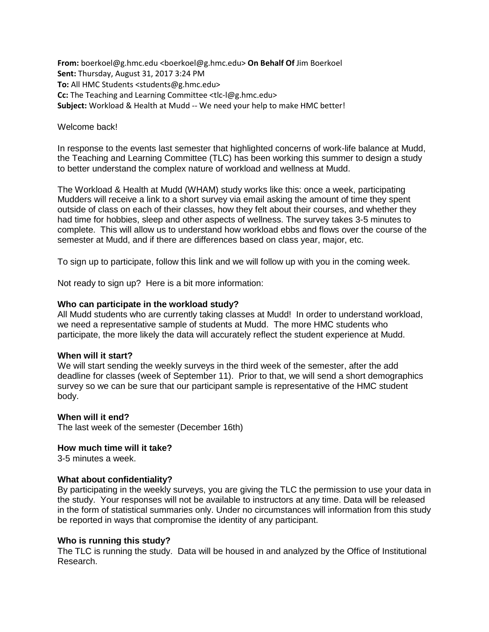**From:** boerkoel@g.hmc.edu <boerkoel@g.hmc.edu> **On Behalf Of** Jim Boerkoel **Sent:** Thursday, August 31, 2017 3:24 PM **To:** All HMC Students <students@g.hmc.edu> **Cc:** The Teaching and Learning Committee <tlc-l@g.hmc.edu> **Subject:** Workload & Health at Mudd -- We need your help to make HMC better!

## Welcome back!

In response to the events last semester that highlighted concerns of work-life balance at Mudd, the Teaching and Learning Committee (TLC) has been working this summer to design a study to better understand the complex nature of workload and wellness at Mudd.

The Workload & Health at Mudd (WHAM) study works like this: once a week, participating Mudders will receive a link to a short survey via email asking the amount of time they spent outside of class on each of their classes, how they felt about their courses, and whether they had time for hobbies, sleep and other aspects of wellness. The survey takes 3-5 minutes to complete. This will allow us to understand how workload ebbs and flows over the course of the semester at Mudd, and if there are differences based on class year, major, etc.

To sign up to participate, follow this link and we will follow up with you in the coming week.

Not ready to sign up? Here is a bit more information:

# **Who can participate in the workload study?**

All Mudd students who are currently taking classes at Mudd! In order to understand workload, we need a representative sample of students at Mudd. The more HMC students who participate, the more likely the data will accurately reflect the student experience at Mudd.

### **When will it start?**

We will start sending the weekly surveys in the third week of the semester, after the add deadline for classes (week of September 11). Prior to that, we will send a short demographics survey so we can be sure that our participant sample is representative of the HMC student body.

### **When will it end?**

The last week of the semester (December 16th)

### **How much time will it take?**

3-5 minutes a week.

### **What about confidentiality?**

By participating in the weekly surveys, you are giving the TLC the permission to use your data in the study. Your responses will not be available to instructors at any time. Data will be released in the form of statistical summaries only. Under no circumstances will information from this study be reported in ways that compromise the identity of any participant.

### **Who is running this study?**

The TLC is running the study. Data will be housed in and analyzed by the Office of Institutional Research.